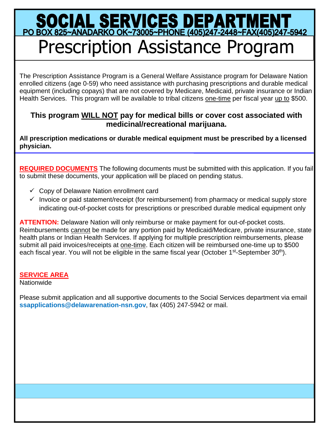## SOCIAL SERVICES DEPARTMENT<br>PO BOX 825~ANADARKO OK~73005~PHONE (405)247-2448~FAX(405)247-5942 Prescription Assistance Program

The Prescription Assistance Program is a General Welfare Assistance program for Delaware Nation enrolled citizens (age 0-59) who need assistance with purchasing prescriptions and durable medical equipment (including copays) that are not covered by Medicare, Medicaid, private insurance or Indian Health Services. This program will be available to tribal citizens one-time per fiscal year up to \$500.

## **This program WILL NOT pay for medical bills or cover cost associated with medicinal/recreational marijuana.**

**All prescription medications or durable medical equipment must be prescribed by a licensed physician.** 

**REQUIRED DOCUMENTS** The following documents must be submitted with this application. If you fail to submit these documents, your application will be placed on pending status.

- $\checkmark$  Copy of Delaware Nation enrollment card
- $\checkmark$  Invoice or paid statement/receipt (for reimbursement) from pharmacy or medical supply store indicating out-of-pocket costs for prescriptions or prescribed durable medical equipment only

**ATTENTION:** Delaware Nation will only reimburse or make payment for out-of-pocket costs. Reimbursements cannot be made for any portion paid by Medicaid/Medicare, private insurance, state health plans or Indian Health Services. If applying for multiple prescription reimbursements, please submit all paid invoices/receipts at one-time. Each citizen will be reimbursed one-time up to \$500 each fiscal year. You will not be eligible in the same fiscal year (October 1<sup>st</sup>-September 30<sup>th</sup>).

## **SERVICE AREA**

**Nationwide** 

Please submit application and all supportive documents to the Social Services department via email **ssapplications@delawarenation-nsn.gov**, fax (405) 247-5942 or mail.